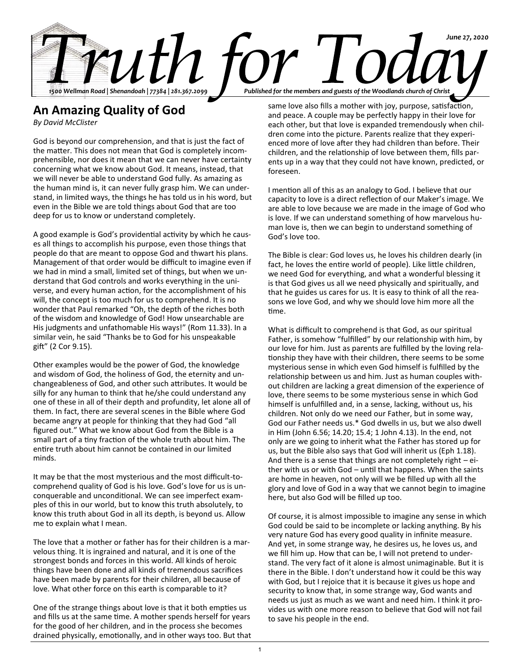

foreseen.

## **An Amazing Quality of God**

*By David McClister*

God is beyond our comprehension, and that is just the fact of the matter. This does not mean that God is completely incomprehensible, nor does it mean that we can never have certainty concerning what we know about God. It means, instead, that we will never be able to understand God fully. As amazing as the human mind is, it can never fully grasp him. We can understand, in limited ways, the things he has told us in his word, but even in the Bible we are told things about God that are too deep for us to know or understand completely.

A good example is God's providential activity by which he causes all things to accomplish his purpose, even those things that people do that are meant to oppose God and thwart his plans. Management of that order would be difficult to imagine even if we had in mind a small, limited set of things, but when we understand that God controls and works everything in the universe, and every human action, for the accomplishment of his will, the concept is too much for us to comprehend. It is no wonder that Paul remarked "Oh, the depth of the riches both of the wisdom and knowledge of God! How unsearchable are His judgments and unfathomable His ways!" (Rom 11.33). In a similar vein, he said "Thanks be to God for his unspeakable gift" (2 Cor 9.15).

Other examples would be the power of God, the knowledge and wisdom of God, the holiness of God, the eternity and unchangeableness of God, and other such attributes. It would be silly for any human to think that he/she could understand any one of these in all of their depth and profundity, let alone all of them. In fact, there are several scenes in the Bible where God became angry at people for thinking that they had God "all figured out." What we know about God from the Bible is a small part of a tiny fraction of the whole truth about him. The entire truth about him cannot be contained in our limited minds.

It may be that the most mysterious and the most difficult-tocomprehend quality of God is his love. God's love for us is unconquerable and unconditional. We can see imperfect examples of this in our world, but to know this truth absolutely, to know this truth about God in all its depth, is beyond us. Allow me to explain what I mean.

The love that a mother or father has for their children is a marvelous thing. It is ingrained and natural, and it is one of the strongest bonds and forces in this world. All kinds of heroic things have been done and all kinds of tremendous sacrifices have been made by parents for their children, all because of love. What other force on this earth is comparable to it?

One of the strange things about love is that it both empties us and fills us at the same time. A mother spends herself for years for the good of her children, and in the process she becomes drained physically, emotionally, and in other ways too. But that same love also fills a mother with joy, purpose, satisfaction, and peace. A couple may be perfectly happy in their love for each other, but that love is expanded tremendously when children come into the picture. Parents realize that they experienced more of love after they had children than before. Their children, and the relationship of love between them, fills par-

ents up in a way that they could not have known, predicted, or

I mention all of this as an analogy to God. I believe that our capacity to love is a direct reflection of our Maker's image. We are able to love because we are made in the image of God who is love. If we can understand something of how marvelous human love is, then we can begin to understand something of God's love too.

The Bible is clear: God loves us, he loves his children dearly (in fact, he loves the entire world of people). Like little children, we need God for everything, and what a wonderful blessing it is that God gives us all we need physically and spiritually, and that he guides us cares for us. It is easy to think of all the reasons we love God, and why we should love him more all the time.

What is difficult to comprehend is that God, as our spiritual Father, is somehow "fulfilled" by our relationship with him, by our love for him. Just as parents are fulfilled by the loving relationship they have with their children, there seems to be some mysterious sense in which even God himself is fulfilled by the relationship between us and him. Just as human couples without children are lacking a great dimension of the experience of love, there seems to be some mysterious sense in which God himself is unfulfilled and, in a sense, lacking, without us, his children. Not only do we need our Father, but in some way, God our Father needs us.\* God dwells in us, but we also dwell in Him (John 6.56; 14.20; 15.4; 1 John 4.13). In the end, not only are we going to inherit what the Father has stored up for us, but the Bible also says that God will inherit us (Eph 1.18). And there is a sense that things are not completely right – either with us or with God – until that happens. When the saints are home in heaven, not only will we be filled up with all the glory and love of God in a way that we cannot begin to imagine here, but also God will be filled up too.

Of course, it is almost impossible to imagine any sense in which God could be said to be incomplete or lacking anything. By his very nature God has every good quality in infinite measure. And yet, in some strange way, he desires us, he loves us, and we fill him up. How that can be, I will not pretend to understand. The very fact of it alone is almost unimaginable. But it is there in the Bible. I don't understand how it could be this way with God, but I rejoice that it is because it gives us hope and security to know that, in some strange way, God wants and needs us just as much as we want and need him. I think it provides us with one more reason to believe that God will not fail to save his people in the end.